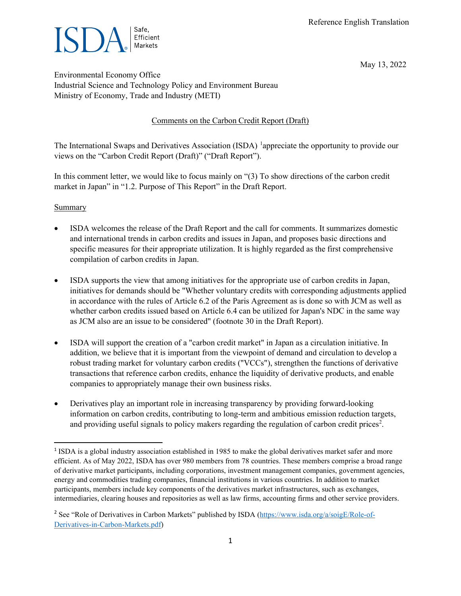

May 13, 2022

Environmental Economy Office Industrial Science and Technology Policy and Environment Bureau Ministry of Economy, Trade and Industry (METI)

# Comments on the Carbon Credit Report (Draft)

The International Swaps and Derivatives Association (ISDA) <sup>[1](#page-0-0)</sup>appreciate the opportunity to provide our views on the "Carbon Credit Report (Draft)" ("Draft Report").

In this comment letter, we would like to focus mainly on "(3) To show directions of the carbon credit market in Japan" in "1.2. Purpose of This Report" in the Draft Report.

#### **Summary**

- ISDA welcomes the release of the Draft Report and the call for comments. It summarizes domestic and international trends in carbon credits and issues in Japan, and proposes basic directions and specific measures for their appropriate utilization. It is highly regarded as the first comprehensive compilation of carbon credits in Japan.
- ISDA supports the view that among initiatives for the appropriate use of carbon credits in Japan, initiatives for demands should be "Whether voluntary credits with corresponding adjustments applied in accordance with the rules of Article 6.2 of the Paris Agreement as is done so with JCM as well as whether carbon credits issued based on Article 6.4 can be utilized for Japan's NDC in the same way as JCM also are an issue to be considered" (footnote 30 in the Draft Report).
- ISDA will support the creation of a "carbon credit market" in Japan as a circulation initiative. In addition, we believe that it is important from the viewpoint of demand and circulation to develop a robust trading market for voluntary carbon credits ("VCCs"), strengthen the functions of derivative transactions that reference carbon credits, enhance the liquidity of derivative products, and enable companies to appropriately manage their own business risks.
- Derivatives play an important role in increasing transparency by providing forward-looking information on carbon credits, contributing to long-term and ambitious emission reduction targets, and providing useful signals to policy makers regarding the regulation of carbon credit prices<sup>[2](#page-0-1)</sup>.

<span id="page-0-0"></span><sup>1</sup> ISDA is a global industry association established in 1985 to make the global derivatives market safer and more efficient. As of May 2022, ISDA has over 980 members from 78 countries. These members comprise a broad range of derivative market participants, including corporations, investment management companies, government agencies, energy and commodities trading companies, financial institutions in various countries. In addition to market participants, members include key components of the derivatives market infrastructures, such as exchanges, intermediaries, clearing houses and repositories as well as law firms, accounting firms and other service providers.

<span id="page-0-1"></span><sup>2</sup> See "Role of Derivatives in Carbon Markets" published by ISDA [\(https://www.isda.org/a/soigE/Role-of-](https://www.isda.org/a/soigE/Role-of-Derivatives-in-Carbon-Markets.pdf)[Derivatives-in-Carbon-Markets.pdf\)](https://www.isda.org/a/soigE/Role-of-Derivatives-in-Carbon-Markets.pdf)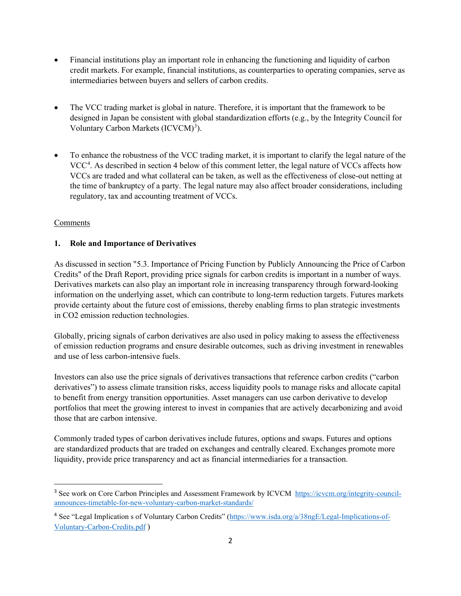- Financial institutions play an important role in enhancing the functioning and liquidity of carbon credit markets. For example, financial institutions, as counterparties to operating companies, serve as intermediaries between buyers and sellers of carbon credits.
- The VCC trading market is global in nature. Therefore, it is important that the framework to be designed in Japan be consistent with global standardization efforts (e.g., by the Integrity Council for Voluntary Carbon Markets (ICVCM)<sup>[3](#page-1-0)</sup>).
- To enhance the robustness of the VCC trading market, it is important to clarify the legal nature of the VCC<sup>[4](#page-1-1)</sup>. As described in section 4 below of this comment letter, the legal nature of VCCs affects how VCCs are traded and what collateral can be taken, as well as the effectiveness of close-out netting at the time of bankruptcy of a party. The legal nature may also affect broader considerations, including regulatory, tax and accounting treatment of VCCs.

# Comments

## **1. Role and Importance of Derivatives**

As discussed in section "5.3. Importance of Pricing Function by Publicly Announcing the Price of Carbon Credits" of the Draft Report, providing price signals for carbon credits is important in a number of ways. Derivatives markets can also play an important role in increasing transparency through forward-looking information on the underlying asset, which can contribute to long-term reduction targets. Futures markets provide certainty about the future cost of emissions, thereby enabling firms to plan strategic investments in CO2 emission reduction technologies.

Globally, pricing signals of carbon derivatives are also used in policy making to assess the effectiveness of emission reduction programs and ensure desirable outcomes, such as driving investment in renewables and use of less carbon-intensive fuels.

Investors can also use the price signals of derivatives transactions that reference carbon credits ("carbon derivatives") to assess climate transition risks, access liquidity pools to manage risks and allocate capital to benefit from energy transition opportunities. Asset managers can use carbon derivative to develop portfolios that meet the growing interest to invest in companies that are actively decarbonizing and avoid those that are carbon intensive.

Commonly traded types of carbon derivatives include futures, options and swaps. Futures and options are standardized products that are traded on exchanges and centrally cleared. Exchanges promote more liquidity, provide price transparency and act as financial intermediaries for a transaction.

<span id="page-1-0"></span><sup>&</sup>lt;sup>3</sup> See work on Core Carbon Principles and Assessment Framework by ICVCM [https://icvcm.org/integrity-council](https://icvcm.org/integrity-council-announces-timetable-for-new-voluntary-carbon-market-standards/)[announces-timetable-for-new-voluntary-carbon-market-standards/](https://icvcm.org/integrity-council-announces-timetable-for-new-voluntary-carbon-market-standards/)

<span id="page-1-1"></span><sup>&</sup>lt;sup>4</sup> See "Legal Implication s of Voluntary Carbon Credits" [\(https://www.isda.org/a/38ngE/Legal-Implications-of-](https://www.isda.org/a/38ngE/Legal-Implications-of-Voluntary-Carbon-Credits.pdf)[Voluntary-Carbon-Credits.pdf](https://www.isda.org/a/38ngE/Legal-Implications-of-Voluntary-Carbon-Credits.pdf) )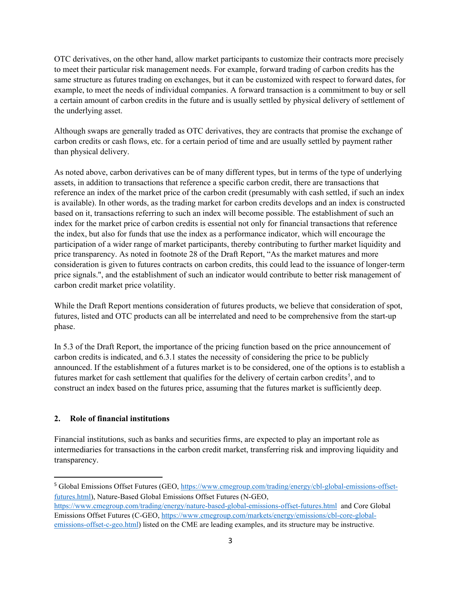OTC derivatives, on the other hand, allow market participants to customize their contracts more precisely to meet their particular risk management needs. For example, forward trading of carbon credits has the same structure as futures trading on exchanges, but it can be customized with respect to forward dates, for example, to meet the needs of individual companies. A forward transaction is a commitment to buy or sell a certain amount of carbon credits in the future and is usually settled by physical delivery of settlement of the underlying asset.

Although swaps are generally traded as OTC derivatives, they are contracts that promise the exchange of carbon credits or cash flows, etc. for a certain period of time and are usually settled by payment rather than physical delivery.

As noted above, carbon derivatives can be of many different types, but in terms of the type of underlying assets, in addition to transactions that reference a specific carbon credit, there are transactions that reference an index of the market price of the carbon credit (presumably with cash settled, if such an index is available). In other words, as the trading market for carbon credits develops and an index is constructed based on it, transactions referring to such an index will become possible. The establishment of such an index for the market price of carbon credits is essential not only for financial transactions that reference the index, but also for funds that use the index as a performance indicator, which will encourage the participation of a wider range of market participants, thereby contributing to further market liquidity and price transparency. As noted in footnote 28 of the Draft Report, "As the market matures and more consideration is given to futures contracts on carbon credits, this could lead to the issuance of longer-term price signals.", and the establishment of such an indicator would contribute to better risk management of carbon credit market price volatility.

While the Draft Report mentions consideration of futures products, we believe that consideration of spot, futures, listed and OTC products can all be interrelated and need to be comprehensive from the start-up phase.

In 5.3 of the Draft Report, the importance of the pricing function based on the price announcement of carbon credits is indicated, and 6.3.1 states the necessity of considering the price to be publicly announced. If the establishment of a futures market is to be considered, one of the options is to establish a futures market for cash settlement that qualifies for the delivery of certain carbon credits<sup>[5](#page-2-0)</sup>, and to construct an index based on the futures price, assuming that the futures market is sufficiently deep.

### **2. Role of financial institutions**

Financial institutions, such as banks and securities firms, are expected to play an important role as intermediaries for transactions in the carbon credit market, transferring risk and improving liquidity and transparency.

<span id="page-2-0"></span><sup>5</sup> Global Emissions Offset Futures (GEO, [https://www.cmegroup.com/trading/energy/cbl-global-emissions-offset](https://www.cmegroup.com/trading/energy/cbl-global-emissions-offset-futures.html)[futures.html\)](https://www.cmegroup.com/trading/energy/cbl-global-emissions-offset-futures.html), Nature-Based Global Emissions Offset Futures (N-GEO,

<https://www.cmegroup.com/trading/energy/nature-based-global-emissions-offset-futures.html> and Core Global Emissions Offset Futures (C-GEO[, https://www.cmegroup.com/markets/energy/emissions/cbl-core-global](https://www.cmegroup.com/markets/energy/emissions/cbl-core-global-emissions-offset-c-geo.html)[emissions-offset-c-geo.html\)](https://www.cmegroup.com/markets/energy/emissions/cbl-core-global-emissions-offset-c-geo.html) listed on the CME are leading examples, and its structure may be instructive.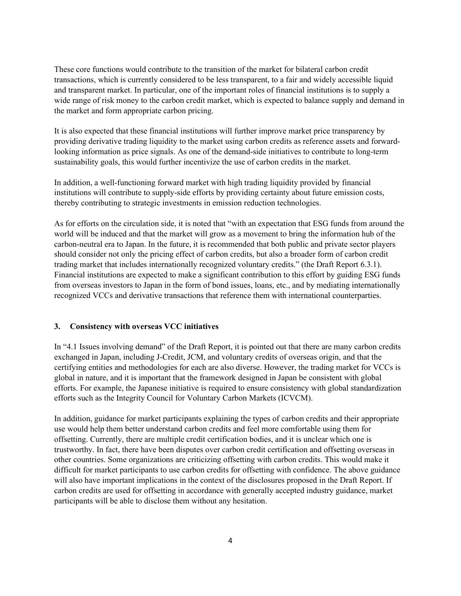These core functions would contribute to the transition of the market for bilateral carbon credit transactions, which is currently considered to be less transparent, to a fair and widely accessible liquid and transparent market. In particular, one of the important roles of financial institutions is to supply a wide range of risk money to the carbon credit market, which is expected to balance supply and demand in the market and form appropriate carbon pricing.

It is also expected that these financial institutions will further improve market price transparency by providing derivative trading liquidity to the market using carbon credits as reference assets and forwardlooking information as price signals. As one of the demand-side initiatives to contribute to long-term sustainability goals, this would further incentivize the use of carbon credits in the market.

In addition, a well-functioning forward market with high trading liquidity provided by financial institutions will contribute to supply-side efforts by providing certainty about future emission costs, thereby contributing to strategic investments in emission reduction technologies.

As for efforts on the circulation side, it is noted that "with an expectation that ESG funds from around the world will be induced and that the market will grow as a movement to bring the information hub of the carbon-neutral era to Japan. In the future, it is recommended that both public and private sector players should consider not only the pricing effect of carbon credits, but also a broader form of carbon credit trading market that includes internationally recognized voluntary credits." (the Draft Report 6.3.1). Financial institutions are expected to make a significant contribution to this effort by guiding ESG funds from overseas investors to Japan in the form of bond issues, loans, etc., and by mediating internationally recognized VCCs and derivative transactions that reference them with international counterparties.

#### **3. Consistency with overseas VCC initiatives**

In "4.1 Issues involving demand" of the Draft Report, it is pointed out that there are many carbon credits exchanged in Japan, including J-Credit, JCM, and voluntary credits of overseas origin, and that the certifying entities and methodologies for each are also diverse. However, the trading market for VCCs is global in nature, and it is important that the framework designed in Japan be consistent with global efforts. For example, the Japanese initiative is required to ensure consistency with global standardization efforts such as the Integrity Council for Voluntary Carbon Markets (ICVCM).

In addition, guidance for market participants explaining the types of carbon credits and their appropriate use would help them better understand carbon credits and feel more comfortable using them for offsetting. Currently, there are multiple credit certification bodies, and it is unclear which one is trustworthy. In fact, there have been disputes over carbon credit certification and offsetting overseas in other countries. Some organizations are criticizing offsetting with carbon credits. This would make it difficult for market participants to use carbon credits for offsetting with confidence. The above guidance will also have important implications in the context of the disclosures proposed in the Draft Report. If carbon credits are used for offsetting in accordance with generally accepted industry guidance, market participants will be able to disclose them without any hesitation.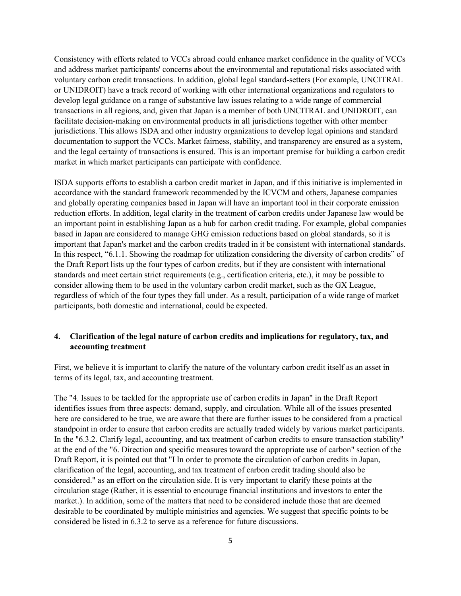Consistency with efforts related to VCCs abroad could enhance market confidence in the quality of VCCs and address market participants' concerns about the environmental and reputational risks associated with voluntary carbon credit transactions. In addition, global legal standard-setters (For example, UNCITRAL or UNIDROIT) have a track record of working with other international organizations and regulators to develop legal guidance on a range of substantive law issues relating to a wide range of commercial transactions in all regions, and, given that Japan is a member of both UNCITRAL and UNIDROIT, can facilitate decision-making on environmental products in all jurisdictions together with other member jurisdictions. This allows ISDA and other industry organizations to develop legal opinions and standard documentation to support the VCCs. Market fairness, stability, and transparency are ensured as a system, and the legal certainty of transactions is ensured. This is an important premise for building a carbon credit market in which market participants can participate with confidence.

ISDA supports efforts to establish a carbon credit market in Japan, and if this initiative is implemented in accordance with the standard framework recommended by the ICVCM and others, Japanese companies and globally operating companies based in Japan will have an important tool in their corporate emission reduction efforts. In addition, legal clarity in the treatment of carbon credits under Japanese law would be an important point in establishing Japan as a hub for carbon credit trading. For example, global companies based in Japan are considered to manage GHG emission reductions based on global standards, so it is important that Japan's market and the carbon credits traded in it be consistent with international standards. In this respect, "6.1.1. Showing the roadmap for utilization considering the diversity of carbon credits" of the Draft Report lists up the four types of carbon credits, but if they are consistent with international standards and meet certain strict requirements (e.g., certification criteria, etc.), it may be possible to consider allowing them to be used in the voluntary carbon credit market, such as the GX League, regardless of which of the four types they fall under. As a result, participation of a wide range of market participants, both domestic and international, could be expected.

## **4. Clarification of the legal nature of carbon credits and implications for regulatory, tax, and accounting treatment**

First, we believe it is important to clarify the nature of the voluntary carbon credit itself as an asset in terms of its legal, tax, and accounting treatment.

The "4. Issues to be tackled for the appropriate use of carbon credits in Japan" in the Draft Report identifies issues from three aspects: demand, supply, and circulation. While all of the issues presented here are considered to be true, we are aware that there are further issues to be considered from a practical standpoint in order to ensure that carbon credits are actually traded widely by various market participants. In the "6.3.2. Clarify legal, accounting, and tax treatment of carbon credits to ensure transaction stability" at the end of the "6. Direction and specific measures toward the appropriate use of carbon" section of the Draft Report, it is pointed out that "I In order to promote the circulation of carbon credits in Japan, clarification of the legal, accounting, and tax treatment of carbon credit trading should also be considered." as an effort on the circulation side. It is very important to clarify these points at the circulation stage (Rather, it is essential to encourage financial institutions and investors to enter the market.). In addition, some of the matters that need to be considered include those that are deemed desirable to be coordinated by multiple ministries and agencies. We suggest that specific points to be considered be listed in 6.3.2 to serve as a reference for future discussions.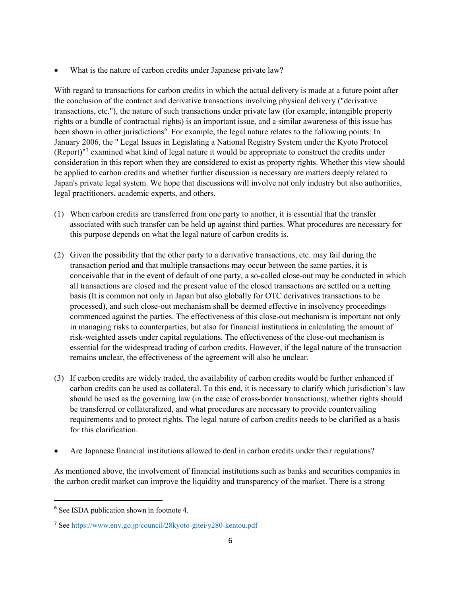What is the nature of carbon credits under Japanese private law?

With regard to transactions for carbon credits in which the actual delivery is made at a future point after the conclusion of the contract and derivative transactions involving physical delivery ("derivative transactions, etc."), the nature of such transactions under private law (for example, intangible property rights or a bundle of contractual rights) is an important issue, and a similar awareness of this issue has been shown in other jurisdictions<sup>[6](#page-5-0)</sup>. For example, the legal nature relates to the following points: In January 2006, the " Legal Issues in Legislating a National Registry System under the Kyoto Protocol (Report)"[7](#page-5-1) examined what kind of legal nature it would be appropriate to construct the credits under consideration in this report when they are considered to exist as property rights. Whether this view should be applied to carbon credits and whether further discussion is necessary are matters deeply related to Japan's private legal system. We hope that discussions will involve not only industry but also authorities, legal practitioners, academic experts, and others.

- (1) When carbon credits are transferred from one party to another, it is essential that the transfer associated with such transfer can be held up against third parties. What procedures are necessary for this purpose depends on what the legal nature of carbon credits is.
- (2) Given the possibility that the other party to a derivative transactions, etc. may fail during the transaction period and that multiple transactions may occur between the same parties, it is conceivable that in the event of default of one party, a so-called close-out may be conducted in which all transactions are closed and the present value of the closed transactions are settled on a netting basis (It is common not only in Japan but also globally for OTC derivatives transactions to be processed), and such close-out mechanism shall be deemed effective in insolvency proceedings commenced against the parties. The effectiveness of this close-out mechanism is important not only in managing risks to counterparties, but also for financial institutions in calculating the amount of risk-weighted assets under capital regulations. The effectiveness of the close-out mechanism is essential for the widespread trading of carbon credits. However, if the legal nature of the transaction remains unclear, the effectiveness of the agreement will also be unclear.
- (3) If carbon credits are widely traded, the availability of carbon credits would be further enhanced if carbon credits can be used as collateral. To this end, it is necessary to clarify which jurisdiction's law should be used as the governing law (in the case of cross-border transactions), whether rights should be transferred or collateralized, and what procedures are necessary to provide countervailing requirements and to protect rights. The legal nature of carbon credits needs to be clarified as a basis for this clarification.
- Are Japanese financial institutions allowed to deal in carbon credits under their regulations?

As mentioned above, the involvement of financial institutions such as banks and securities companies in the carbon credit market can improve the liquidity and transparency of the market. There is a strong

<span id="page-5-0"></span><sup>&</sup>lt;sup>6</sup> See ISDA publication shown in footnote 4.

<span id="page-5-1"></span><sup>7</sup> See<https://www.env.go.jp/council/28kyoto-gitei/y280-kentou.pdf>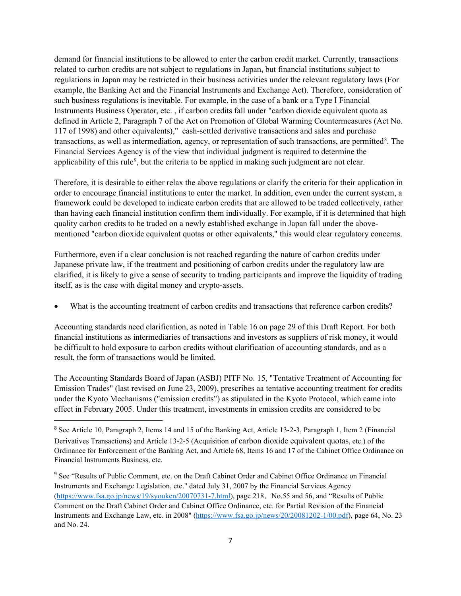demand for financial institutions to be allowed to enter the carbon credit market. Currently, transactions related to carbon credits are not subject to regulations in Japan, but financial institutions subject to regulations in Japan may be restricted in their business activities under the relevant regulatory laws (For example, the Banking Act and the Financial Instruments and Exchange Act). Therefore, consideration of such business regulations is inevitable. For example, in the case of a bank or a Type I Financial Instruments Business Operator, etc. , if carbon credits fall under "carbon dioxide equivalent quota as defined in Article 2, Paragraph 7 of the Act on Promotion of Global Warming Countermeasures (Act No. 117 of 1998) and other equivalents)," cash-settled derivative transactions and sales and purchase transactions, as well as intermediation, agency, or representation of such transactions, are permitted<sup>[8](#page-6-0)</sup>. The Financial Services Agency is of the view that individual judgment is required to determine the applicability of this rule<sup>[9](#page-6-1)</sup>, but the criteria to be applied in making such judgment are not clear.

Therefore, it is desirable to either relax the above regulations or clarify the criteria for their application in order to encourage financial institutions to enter the market. In addition, even under the current system, a framework could be developed to indicate carbon credits that are allowed to be traded collectively, rather than having each financial institution confirm them individually. For example, if it is determined that high quality carbon credits to be traded on a newly established exchange in Japan fall under the abovementioned "carbon dioxide equivalent quotas or other equivalents," this would clear regulatory concerns.

Furthermore, even if a clear conclusion is not reached regarding the nature of carbon credits under Japanese private law, if the treatment and positioning of carbon credits under the regulatory law are clarified, it is likely to give a sense of security to trading participants and improve the liquidity of trading itself, as is the case with digital money and crypto-assets.

What is the accounting treatment of carbon credits and transactions that reference carbon credits?

Accounting standards need clarification, as noted in Table 16 on page 29 of this Draft Report. For both financial institutions as intermediaries of transactions and investors as suppliers of risk money, it would be difficult to hold exposure to carbon credits without clarification of accounting standards, and as a result, the form of transactions would be limited.

The Accounting Standards Board of Japan (ASBJ) PITF No. 15, "Tentative Treatment of Accounting for Emission Trades" (last revised on June 23, 2009), prescribes aa tentative accounting treatment for credits under the Kyoto Mechanisms ("emission credits") as stipulated in the Kyoto Protocol, which came into effect in February 2005. Under this treatment, investments in emission credits are considered to be

<span id="page-6-0"></span><sup>8</sup> See Article 10, Paragraph 2, Items 14 and 15 of the Banking Act, Article 13-2-3, Paragraph 1, Item 2 (Financial Derivatives Transactions) and Article 13-2-5 (Acquisition of carbon dioxide equivalent quotas, etc.) of the Ordinance for Enforcement of the Banking Act, and Article 68, Items 16 and 17 of the Cabinet Office Ordinance on Financial Instruments Business, etc.

<span id="page-6-1"></span><sup>&</sup>lt;sup>9</sup> See "Results of Public Comment, etc. on the Draft Cabinet Order and Cabinet Office Ordinance on Financial Instruments and Exchange Legislation, etc." dated July 31, 2007 by the Financial Services Agency [\(https://www.fsa.go.jp/news/19/syouken/20070731-7.html\)](https://www.fsa.go.jp/news/19/syouken/20070731-7.html), page 218、No.55 and 56, and "Results of Public Comment on the Draft Cabinet Order and Cabinet Office Ordinance, etc. for Partial Revision of the Financial Instruments and Exchange Law, etc. in 2008" [\(https://www.fsa.go.jp/news/20/20081202-1/00.pdf\)](https://www.fsa.go.jp/news/20/20081202-1/00.pdf), page 64, No. 23 and No. 24.